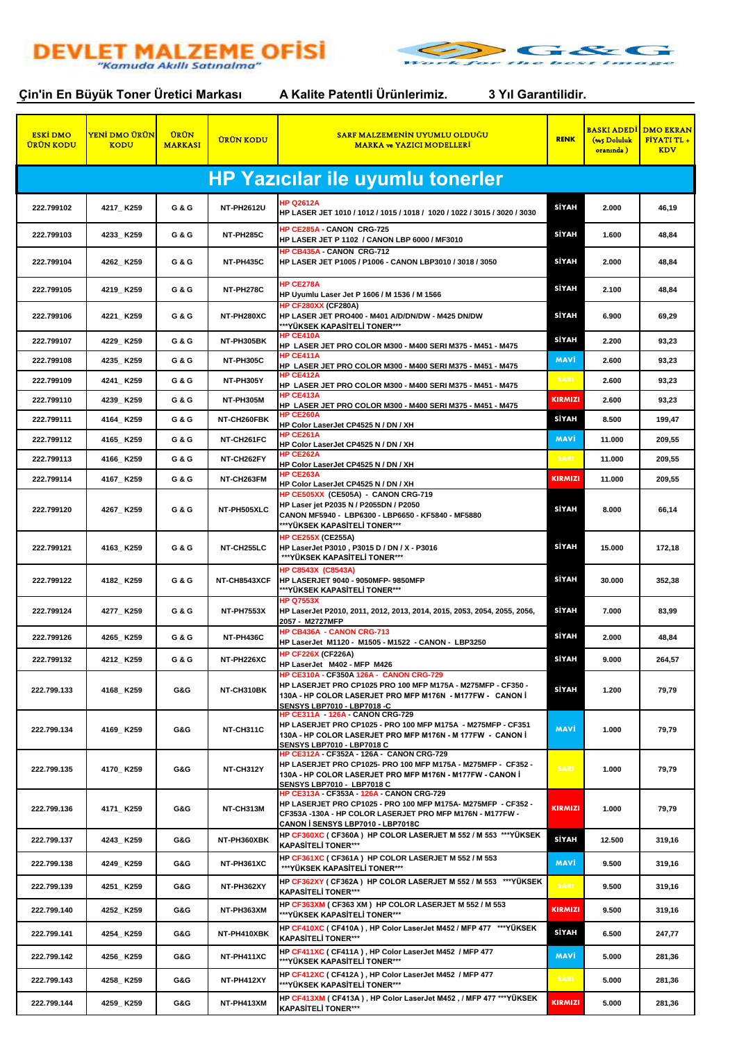



## **Çin'in En Büyük Toner Üretici Markası A Kalite Patentli Ürünlerimiz. 3 Yıl Garantilidir.**

| <b>ESKI DMO</b><br><b>ÜRÜN KODU</b>     | <mark>YENİ DMO ÜRÜN</mark><br><b>KODU</b> | <b>ÜRÜN</b><br><b>MARKASI</b> | <b>ÜRÜN KODU</b>  | <b>SARF MALZEMENÍN UYUMLU OLDUĞU</b><br><b>MARKA ve YAZICI MODELLERI</b>                                                                                                                                            | <b>RENK</b>    | <u>BASKI ADEDİ</u><br>(%5 Doluluk<br>oraninda) | <b>DMO EKRAN</b><br>FIYATI TL +<br><b>KDV</b> |  |
|-----------------------------------------|-------------------------------------------|-------------------------------|-------------------|---------------------------------------------------------------------------------------------------------------------------------------------------------------------------------------------------------------------|----------------|------------------------------------------------|-----------------------------------------------|--|
| <b>HP Yazıcılar ile uyumlu tonerler</b> |                                           |                               |                   |                                                                                                                                                                                                                     |                |                                                |                                               |  |
| 222.799102                              | 4217_K259                                 | <b>G&amp;G</b>                | <b>NT-PH2612U</b> | <b>HP Q2612A</b><br>HP LASER JET 1010 / 1012 / 1015 / 1018 / 1020 / 1022 / 3015 / 3020 / 3030                                                                                                                       | SİYAH          | 2.000                                          | 46,19                                         |  |
| 222.799103                              | 4233_K259                                 | G & G                         | NT-PH285C         | HP CE285A - CANON CRG-725<br><b>HP LASER JET P 1102 / CANON LBP 6000 / MF3010</b>                                                                                                                                   | <b>SİYAH</b>   | 1.600                                          | 48,84                                         |  |
| 222.799104                              | 4262_K259                                 | G & G                         | NT-PH435C         | HP CB435A - CANON CRG-712<br>HP LASER JET P1005 / P1006 - CANON LBP3010 / 3018 / 3050                                                                                                                               | SİYAH          | 2.000                                          | 48,84                                         |  |
| 222.799105                              | 4219_K259                                 | <b>G&amp;G</b>                | NT-PH278C         | HP CE278A<br>HP Uyumlu Laser Jet P 1606 / M 1536 / M 1566                                                                                                                                                           | SİYAH          | 2.100                                          | 48,84                                         |  |
| 222.799106                              | 4221_K259                                 | <b>G&amp;G</b>                | NT-PH280XC        | HP CF280XX (CF280A)<br>HP LASER JET PRO400 - M401 A/D/DN/DW - M425 DN/DW<br>***YÜKSEK KAPASİTELİ TONER***                                                                                                           | SİYAH          | 6.900                                          | 69,29                                         |  |
| 222.799107                              | 4229_K259                                 | G & G                         | NT-PH305BK        | <b>HP CE410A</b><br>HP LASER JET PRO COLOR M300 - M400 SERI M375 - M451 - M475                                                                                                                                      | <b>SİYAH</b>   | 2.200                                          | 93,23                                         |  |
| 222.799108                              | 4235 K259                                 | G & G                         | <b>NT-PH305C</b>  | <b>HP CE411A</b><br>HP LASER JET PRO COLOR M300 - M400 SERI M375 - M451 - M475                                                                                                                                      | <b>MAVİ</b>    | 2.600                                          | 93,23                                         |  |
| 222.799109                              | 4241_K259                                 | G & G                         | NT-PH305Y         | <b>HP CE412A</b><br>HP LASER JET PRO COLOR M300 - M400 SERI M375 - M451 - M475                                                                                                                                      | <b>SARI</b>    | 2.600                                          | 93,23                                         |  |
| 222.799110                              | 4239_K259                                 | G & G                         | NT-PH305M         | HP CE413A<br>HP LASER JET PRO COLOR M300 - M400 SERI M375 - M451 - M475                                                                                                                                             | <b>KIRMIZI</b> | 2.600                                          | 93,23                                         |  |
| 222.799111                              | 4164_K259                                 | G & G                         | NT-CH260FBK       | <b>HP CE260A</b>                                                                                                                                                                                                    | SİYAH          | 8.500                                          | 199,47                                        |  |
| 222.799112                              | 4165_K259                                 | <b>G&amp;G</b>                | NT-CH261FC        | HP Color LaserJet CP4525 N / DN / XH<br><b>HP CE261A</b>                                                                                                                                                            | MAVİ           | 11.000                                         | 209,55                                        |  |
| 222.799113                              | 4166_K259                                 | <b>G&amp;G</b>                | NT-CH262FY        | HP Color LaserJet CP4525 N / DN / XH<br><b>HP CE262A</b>                                                                                                                                                            | <b>SARI</b>    | 11.000                                         | 209,55                                        |  |
| 222.799114                              | 4167_K259                                 | G & G                         | NT-CH263FM        | HP Color LaserJet CP4525 N / DN / XH<br><b>HP CE263A</b>                                                                                                                                                            | <b>KIRMIZI</b> | 11.000                                         | 209,55                                        |  |
|                                         |                                           |                               |                   | HP Color LaserJet CP4525 N / DN / XH<br>HP CE505XX (CE505A) - CANON CRG-719                                                                                                                                         |                |                                                |                                               |  |
| 222.799120                              | 4267_K259                                 | <b>G&amp;G</b>                | NT-PH505XLC       | HP Laser jet P2035 N / P2055DN / P2050<br>CANON MF5940 - LBP6300 - LBP6650 - KF5840 - MF5880<br>***YÜKSEK KAPASİTELİ TONER***                                                                                       | SİYAH          | 8.000                                          | 66,14                                         |  |
| 222.799121                              | 4163_K259                                 | G & G                         | NT-CH255LC        | <b>HP CE255X (CE255A)</b><br>HP LaserJet P3010, P3015 D / DN / X - P3016<br>***YÜKSEK KAPASİTELİ TONER***                                                                                                           | SİYAH          | 15.000                                         | 172,18                                        |  |
| 222.799122                              | 4182_K259                                 | <b>G&amp;G</b>                | NT-CH8543XCF      | HP C8543X (C8543A)<br>HP LASERJET 9040 - 9050MFP- 9850MFP<br>***YÜKSEK KAPASİTELİ TONER***                                                                                                                          | <b>SİYAH</b>   | 30.000                                         | 352,38                                        |  |
| 222.799124                              | 4277_K259                                 | <b>G&amp;G</b>                | <b>NT-PH7553X</b> | <b>HP Q7553X</b><br>HP LaserJet P2010, 2011, 2012, 2013, 2014, 2015, 2053, 2054, 2055, 2056,<br>2057 - M2727MFP                                                                                                     | <b>SİYAH</b>   | 7.000                                          | 83,99                                         |  |
| 222.799126                              | 4265_K259                                 | <b>G&amp;G</b>                | NT-PH436C         | HP CB436A - CANON CRG-713<br>HP LaserJet M1120 - M1505 - M1522 - CANON - LBP3250                                                                                                                                    | <b>SİYAH</b>   | 2.000                                          | 48,84                                         |  |
| 222.799132                              | 4212_K259                                 | <b>G&amp;G</b>                | NT-PH226XC        | <b>HP CF226X (CF226A)</b><br>HP LaserJet M402 - MFP M426                                                                                                                                                            | SİYAH          | 9.000                                          | 264,57                                        |  |
| 222.799.133                             | 4168_K259                                 | G&G                           | NT-CH310BK        | <b>IP CE310A - CF350A 126A - CANON CRG-729</b><br>HP LASERJET PRO CP1025 PRO 100 MFP M175A - M275MFP - CF350 -<br>130A - HP COLOR LASERJET PRO MFP M176N - M177FW - CANON İ<br><b>SENSYS LBP7010 - LBP7018 -C</b>   | <b>SİYAH</b>   | 1.200                                          | 79,79                                         |  |
| 222.799.134                             | 4169 K259                                 | G&G                           | NT-CH311C         | HP CE311A - 126A - CANON CRG-729<br>HP LASERJET PRO CP1025 - PRO 100 MFP M175A - M275MFP - CF351<br>130A - HP COLOR LASERJET PRO MFP M176N - M 177FW - CANON İ<br><b>SENSYS LBP7010 - LBP7018 C</b>                 | <b>MAVİ</b>    | 1.000                                          | 79,79                                         |  |
| 222.799.135                             | 4170_K259                                 | G&G                           | NT-CH312Y         | HP CE312A - CF352A - 126A - CANON CRG-729<br>HP LASERJET PRO CP1025- PRO 100 MFP M175A - M275MFP - CF352 -<br>130A - HP COLOR LASERJET PRO MFP M176N - M177FW - CANON İ<br>SENSYS LBP7010 - LBP7018 C               | <b>SARI</b>    | 1.000                                          | 79,79                                         |  |
| 222.799.136                             | 4171_K259                                 | G&G                           | NT-CH313M         | <b>HP CE313A - CF353A - 126A - CANON CRG-729</b><br>HP LASERJET PRO CP1025 - PRO 100 MFP M175A- M275MFP - CF352 -<br>CF353A -130A - HP COLOR LASERJET PRO MFP M176N - M177FW -<br>CANON İ SENSYS LBP7010 - LBP7018C | <b>KIRMIZI</b> | 1.000                                          | 79,79                                         |  |
| 222.799.137                             | 4243_K259                                 | G&G                           | NT-PH360XBK       | HP <mark>CF360XC</mark> (CF360A) HP COLOR LASERJET M 552 / M 553 ***YÜKSEK<br><b>KAPASİTELİ TONER***</b>                                                                                                            | <b>SİYAH</b>   | 12.500                                         | 319,16                                        |  |
| 222.799.138                             | 4249_K259                                 | G&G                           | NT-PH361XC        | HP CF361XC ( CF361A ) HP COLOR LASERJET M 552 / M 553<br>***YÜKSEK KAPASİTELİ TONER***                                                                                                                              | <b>MAVI</b>    | 9.500                                          | 319,16                                        |  |
| 222.799.139                             | 4251 K259                                 | G&G                           | NT-PH362XY        | HP <mark>CF362XY</mark> (CF362A) HP COLOR LASERJET M 552 / M 553 ***YÜKSEK<br><b>KAPASİTELİ TONER***</b>                                                                                                            | <b>SARI</b>    | 9.500                                          | 319,16                                        |  |
| 222.799.140                             | 4252_K259                                 | G&G                           | NT-PH363XM        | HP CF363XM (CF363 XM) HP COLOR LASERJET M 552 / M 553<br>***YÜKSEK KAPASİTELİ TONER***                                                                                                                              | <b>KIRMIZI</b> | 9.500                                          | 319,16                                        |  |
| 222.799.141                             | 4254_K259                                 | G&G                           | NT-PH410XBK       | HP CF410XC(CF410A), HP Color LaserJet M452 / MFP 477 ***YÜKSEK<br><b>KAPASİTELİ TONER***</b>                                                                                                                        | <b>SİYAH</b>   | 6.500                                          | 247,77                                        |  |
| 222.799.142                             | 4256_K259                                 | G&G                           | NT-PH411XC        | HP CF411XC (CF411A), HP Color LaserJet M452 / MFP 477<br>***YÜKSEK KAPASİTELİ TONER***                                                                                                                              | MAVİ           | 5.000                                          | 281,36                                        |  |
| 222.799.143                             | 4258_K259                                 | G&G                           | NT-PH412XY        | HP CF412XC ( CF412A ) , HP Color LaserJet M452 / MFP 477<br>***YÜKSEK KAPASİTELİ TONER***                                                                                                                           | <b>SARI</b>    | 5.000                                          | 281,36                                        |  |
| 222.799.144                             | 4259_K259                                 | G&G                           | NT-PH413XM        | HP CF413XM ( CF413A ) , HP Color LaserJet M452 , / MFP 477 *** YÜKSEK<br>KAPASİTELİ TONER***                                                                                                                        | <b>KIRMIZI</b> | 5.000                                          | 281,36                                        |  |